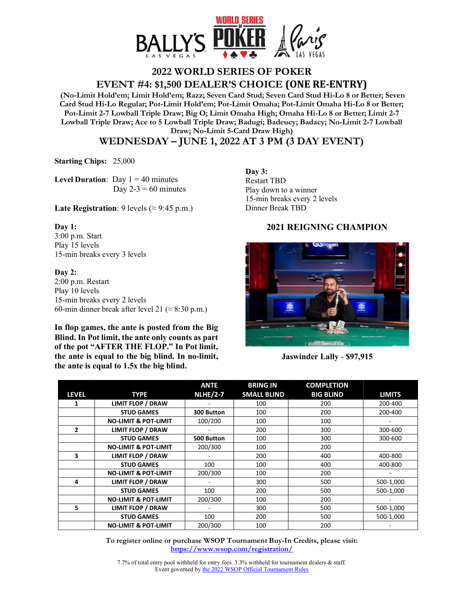

## **2022 WORLD SERIES OF POKER**

**EVENT #4: \$1,500 DEALER'S CHOICE (ONE RE-ENTRY)**

 **(No-Limit Hold'em; Limit Hold'em; Razz; Seven Card Stud; Seven Card Stud Hi-Lo 8 or Better; Seven Card Stud Hi-Lo Regular; Pot-Limit Hold'em; Pot-Limit Omaha; Pot-Limit Omaha Hi-Lo 8 or Better; Pot-Limit 2-7 Lowball Triple Draw; Big O; Limit Omaha High; Omaha Hi-Lo 8 or Better; Limit 2-7 Lowball Triple Draw; Ace to 5 Lowball Triple Draw; Badugi; Badeucy; Badacy; No-Limit 2-7 Lowball Draw; No-Limit 5-Card Draw High)** 

**WEDNESDAY – JUNE 1, 2022 AT 3 PM (3 DAY EVENT)** 

**Starting Chips:** 25,000

**Level Duration:** Day  $1 = 40$  minutes Day  $2-3 = 60$  minutes

**Late Registration**: 9 levels ( $\approx$  9:45 p.m.)

## **Day 1:**

3:00 p.m. Start Play 15 levels 15-min breaks every 3 levels

## **Day 2:**

2:00 p.m. Restart Play 10 levels 15-min breaks every 2 levels 60-min dinner break after level 21 ( $\approx$  8:30 p.m.)

**In flop games, the ante is posted from the Big Blind. In Pot limit, the ante only counts as part of the pot "AFTER THE FLOP." In Pot limit, the ante is equal to the big blind. In no-limit, the ante is equal to 1.5x the big blind.** 

**Day 3:**  Restart TBD Play down to a winner 15-min breaks every 2 levels Dinner Break TBD

## **2021 REIGNING CHAMPION**



**Jaswinder Lally** - **\$97,915** 

|              |                                 | <b>ANTE</b>     | <b>BRING IN</b>    | <b>COMPLETION</b> |               |
|--------------|---------------------------------|-----------------|--------------------|-------------------|---------------|
| <b>LEVEL</b> | <b>TYPE</b>                     | <b>NLHE/2-7</b> | <b>SMALL BLIND</b> | <b>BIG BLIND</b>  | <b>LIMITS</b> |
| 1            | <b>LIMIT FLOP / DRAW</b>        |                 | 100                | 200               | 200-400       |
|              | <b>STUD GAMES</b>               | 300 Button      | 100                | 200               | 200-400       |
|              | <b>NO-LIMIT &amp; POT-LIMIT</b> | 100/200         | 100                | 100               |               |
| $\mathbf{2}$ | <b>LIMIT FLOP / DRAW</b>        |                 | 200                | 300               | 300-600       |
|              | <b>STUD GAMES</b>               | 500 Button      | 100                | 300               | 300-600       |
|              | <b>NO-LIMIT &amp; POT-LIMIT</b> | 200/300         | 100                | 200               |               |
| 3            | <b>LIMIT FLOP / DRAW</b>        |                 | 200                | 400               | 400-800       |
|              | <b>STUD GAMES</b>               | 100             | 100                | 400               | 400-800       |
|              | <b>NO-LIMIT &amp; POT-LIMIT</b> | 200/300         | 100                | 200               |               |
| 4            | <b>LIMIT FLOP / DRAW</b>        |                 | 300                | 500               | 500-1,000     |
|              | <b>STUD GAMES</b>               | 100             | 200                | 500               | 500-1,000     |
|              | <b>NO-LIMIT &amp; POT-LIMIT</b> | 200/300         | 100                | 200               |               |
| 5            | <b>LIMIT FLOP / DRAW</b>        |                 | 300                | 500               | 500-1,000     |
|              | <b>STUD GAMES</b>               | 100             | 200                | 500               | 500-1,000     |
|              | <b>NO-LIMIT &amp; POT-LIMIT</b> | 200/300         | 100                | 200               |               |

**To register online or purchase WSOP Tournament Buy-In Credits, please visit: https://www.wsop.com/registration/**

7.7% of total entry pool withheld for entry fees. 3.3% withheld for tournament dealers & staff. Event governed by the 2022 WSOP Official Tournament Rules